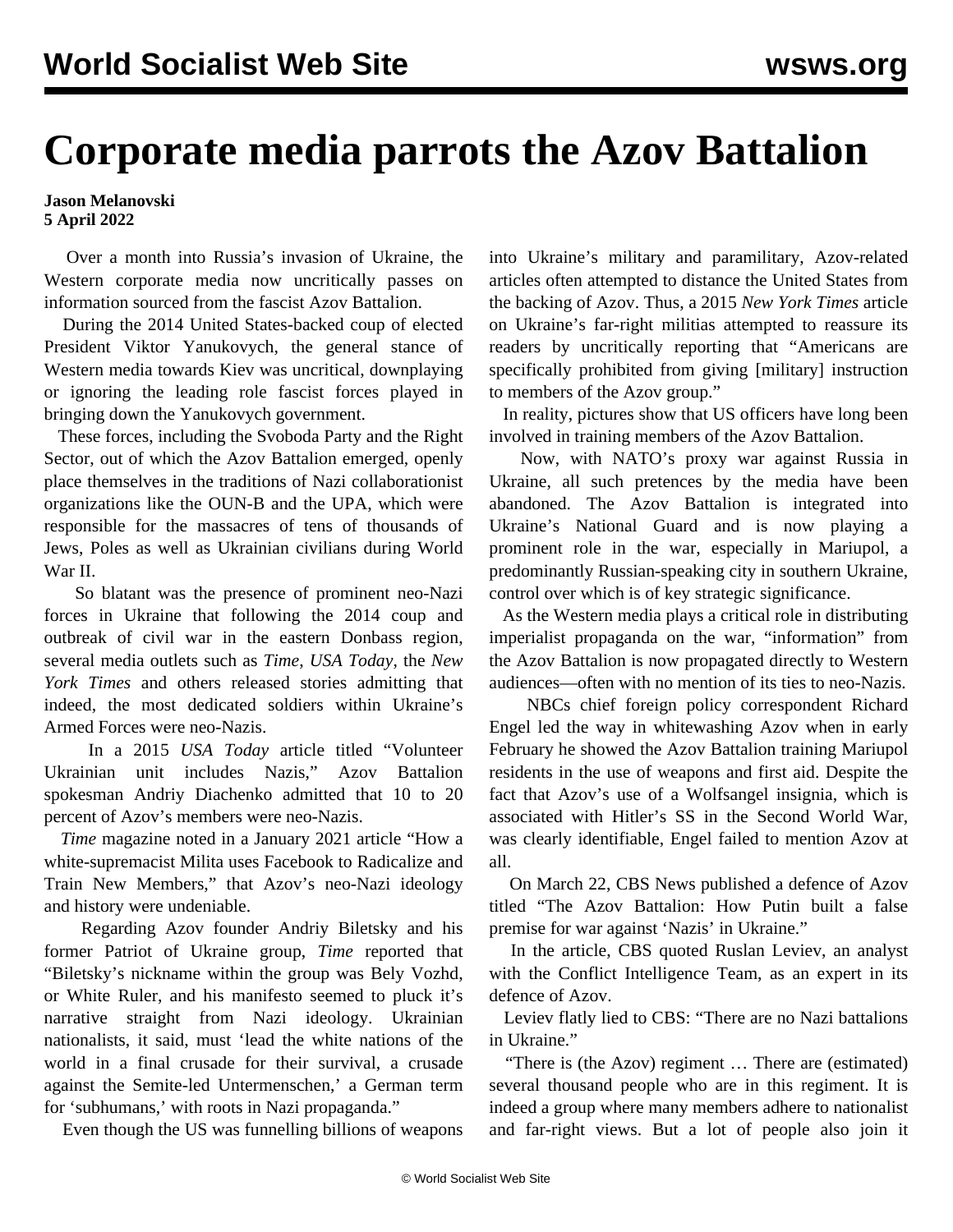## **Corporate media parrots the Azov Battalion**

## **Jason Melanovski 5 April 2022**

 Over a month into Russia's invasion of Ukraine, the Western corporate media now uncritically passes on information sourced from the fascist Azov Battalion.

 During the 2014 United States-backed coup of elected President Viktor Yanukovych, the general stance of Western media towards Kiev was uncritical, downplaying or ignoring the leading role fascist forces played in bringing down the Yanukovych government.

 These forces, including the Svoboda Party and the Right Sector, out of which the Azov Battalion emerged, openly place themselves in the traditions of Nazi collaborationist organizations like the OUN-B and the UPA, which were responsible for the massacres of tens of thousands of Jews, Poles as well as Ukrainian civilians during World War II.

 So blatant was the presence of prominent neo-Nazi forces in Ukraine that following the 2014 coup and outbreak of civil war in the eastern Donbass region, several media outlets such as *Time*, *USA Today*, the *New York Times* and others released stories admitting that indeed, the most dedicated soldiers within Ukraine's Armed Forces were neo-Nazis.

 In a 2015 *USA Today* article titled "Volunteer Ukrainian unit includes Nazis," Azov Battalion spokesman Andriy Diachenko admitted that 10 to 20 percent of Azov's members were neo-Nazis.

 *Time* magazine noted in a [January 2021 article](https://time.com/5926750/azov-far-right-movement-facebook/) "How a white-supremacist Milita uses Facebook to Radicalize and Train New Members," that Azov's neo-Nazi ideology and history were undeniable.

 Regarding Azov founder Andriy Biletsky and his former Patriot of Ukraine group, *Time* reported that "Biletsky's nickname within the group was Bely Vozhd, or White Ruler, and his manifesto seemed to pluck it's narrative straight from Nazi ideology. Ukrainian nationalists, it said, must 'lead the white nations of the world in a final crusade for their survival, a crusade against the Semite-led Untermenschen,' a German term for 'subhumans,' with roots in Nazi propaganda."

Even though the US was funnelling billions of weapons

into Ukraine's military and paramilitary, Azov-related articles often attempted to distance the United States from the backing of Azov. Thus, a 2015 *New York Times* article on Ukraine's far-right militias attempted to reassure its readers by uncritically reporting that "Americans are specifically prohibited from giving [military] instruction to members of the Azov group."

 In reality, pictures show that US officers have long been involved in training members of the Azov Battalion.

 Now, with NATO's proxy war against Russia in Ukraine, all such pretences by the media have been abandoned. The Azov Battalion is integrated into Ukraine's National Guard and is now playing a prominent role in the war, especially in Mariupol, a predominantly Russian-speaking city in southern Ukraine, control over which is of key strategic significance.

 As the Western media plays a critical role in distributing imperialist propaganda on the war, "information" from the Azov Battalion is now propagated directly to Western audiences—often with no mention of its ties to neo-Nazis.

 NBCs chief foreign policy correspondent [Richard](/en/articles/2022/02/16/ukra-f16.html) [Engel led the way in whitewashing Azov](/en/articles/2022/02/16/ukra-f16.html) when in early February he showed the Azov Battalion training Mariupol residents in the use of weapons and first aid. Despite the fact that Azov's use of a Wolfsangel insignia, which is associated with Hitler's SS in the Second World War, was clearly identifiable, Engel failed to mention Azov at all.

 On March 22, CBS News [published a defence](https://www.cbsnews.com/news/ukraine-russia-war-azov-battalion-putin-premise-war-vs-nazis/) of Azov titled "The Azov Battalion: How Putin built a false premise for war against 'Nazis' in Ukraine."

 In the article, CBS quoted Ruslan Leviev, an analyst with the Conflict Intelligence Team, as an expert in its defence of Azov.

 Leviev flatly lied to CBS: "There are no Nazi battalions in Ukraine."

 "There is (the Azov) regiment … There are (estimated) several thousand people who are in this regiment. It is indeed a group where many members adhere to nationalist and far-right views. But a lot of people also join it